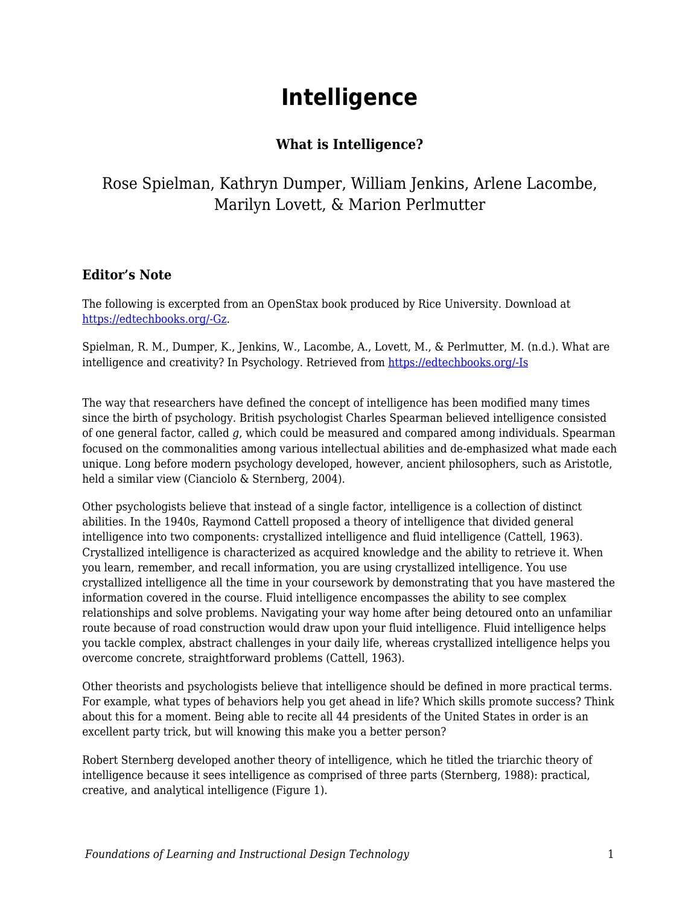# **Intelligence**

### **What is Intelligence?**

# Rose Spielman, Kathryn Dumper, William Jenkins, Arlene Lacombe, Marilyn Lovett, & Marion Perlmutter

#### **Editor's Note**

The following is excerpted from an OpenStax book produced by Rice University. Download at [https://edtechbooks.org/-Gz](http://cnx.org/content/col11629/latest/).

Spielman, R. M., Dumper, K., Jenkins, W., Lacombe, A., Lovett, M., & Perlmutter, M. (n.d.). What are intelligence and creativity? In Psychology. Retrieved from [https://edtechbooks.org/-Is](http://cnx.org/contents/Sr8Ev5Og@5.75:llWPi2c1@5/What-Are-Intelligence-and-Crea)

The way that researchers have defined the concept of intelligence has been modified many times since the birth of psychology. British psychologist Charles Spearman believed intelligence consisted of one general factor, called *g*, which could be measured and compared among individuals. Spearman focused on the commonalities among various intellectual abilities and de-emphasized what made each unique. Long before modern psychology developed, however, ancient philosophers, such as Aristotle, held a similar view (Cianciolo & Sternberg, 2004).

Other psychologists believe that instead of a single factor, intelligence is a collection of distinct abilities. In the 1940s, Raymond Cattell proposed a theory of intelligence that divided general intelligence into two components: crystallized intelligence and fluid intelligence (Cattell, 1963). Crystallized intelligence is characterized as acquired knowledge and the ability to retrieve it. When you learn, remember, and recall information, you are using crystallized intelligence. You use crystallized intelligence all the time in your coursework by demonstrating that you have mastered the information covered in the course. Fluid intelligence encompasses the ability to see complex relationships and solve problems. Navigating your way home after being detoured onto an unfamiliar route because of road construction would draw upon your fluid intelligence. Fluid intelligence helps you tackle complex, abstract challenges in your daily life, whereas crystallized intelligence helps you overcome concrete, straightforward problems (Cattell, 1963).

Other theorists and psychologists believe that intelligence should be defined in more practical terms. For example, what types of behaviors help you get ahead in life? Which skills promote success? Think about this for a moment. Being able to recite all 44 presidents of the United States in order is an excellent party trick, but will knowing this make you a better person?

Robert Sternberg developed another theory of intelligence, which he titled the triarchic theory of intelligence because it sees intelligence as comprised of three parts (Sternberg, 1988): practical, creative, and analytical intelligence (Figure 1).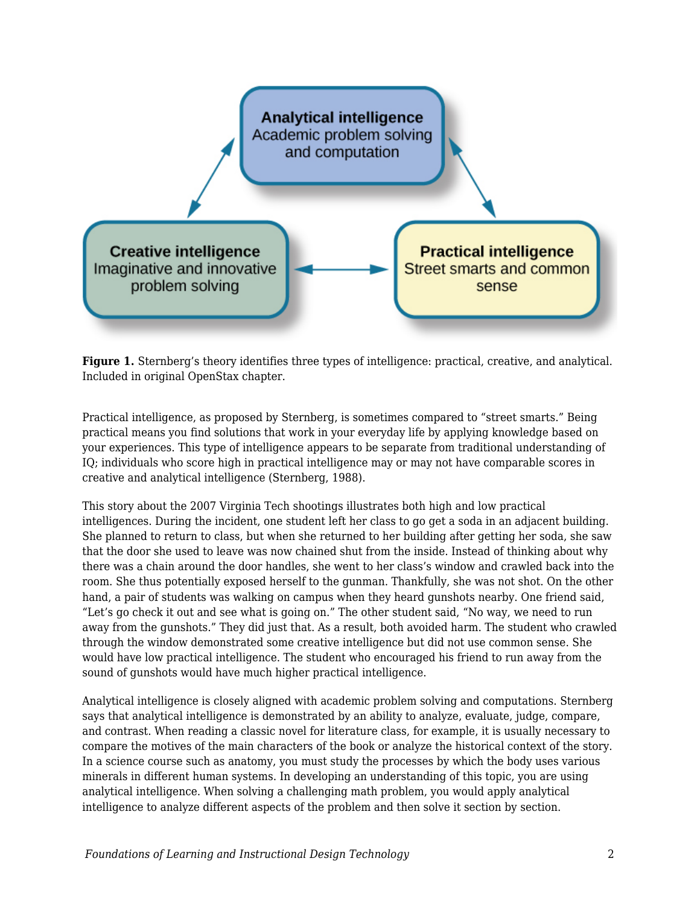

**Figure 1.** Sternberg's theory identifies three types of intelligence: practical, creative, and analytical. Included in original OpenStax chapter.

Practical intelligence, as proposed by Sternberg, is sometimes compared to "street smarts." Being practical means you find solutions that work in your everyday life by applying knowledge based on your experiences. This type of intelligence appears to be separate from traditional understanding of IQ; individuals who score high in practical intelligence may or may not have comparable scores in creative and analytical intelligence (Sternberg, 1988).

This story about the 2007 Virginia Tech shootings illustrates both high and low practical intelligences. During the incident, one student left her class to go get a soda in an adjacent building. She planned to return to class, but when she returned to her building after getting her soda, she saw that the door she used to leave was now chained shut from the inside. Instead of thinking about why there was a chain around the door handles, she went to her class's window and crawled back into the room. She thus potentially exposed herself to the gunman. Thankfully, she was not shot. On the other hand, a pair of students was walking on campus when they heard gunshots nearby. One friend said, "Let's go check it out and see what is going on." The other student said, "No way, we need to run away from the gunshots." They did just that. As a result, both avoided harm. The student who crawled through the window demonstrated some creative intelligence but did not use common sense. She would have low practical intelligence. The student who encouraged his friend to run away from the sound of gunshots would have much higher practical intelligence.

Analytical intelligence is closely aligned with academic problem solving and computations. Sternberg says that analytical intelligence is demonstrated by an ability to analyze, evaluate, judge, compare, and contrast. When reading a classic novel for literature class, for example, it is usually necessary to compare the motives of the main characters of the book or analyze the historical context of the story. In a science course such as anatomy, you must study the processes by which the body uses various minerals in different human systems. In developing an understanding of this topic, you are using analytical intelligence. When solving a challenging math problem, you would apply analytical intelligence to analyze different aspects of the problem and then solve it section by section.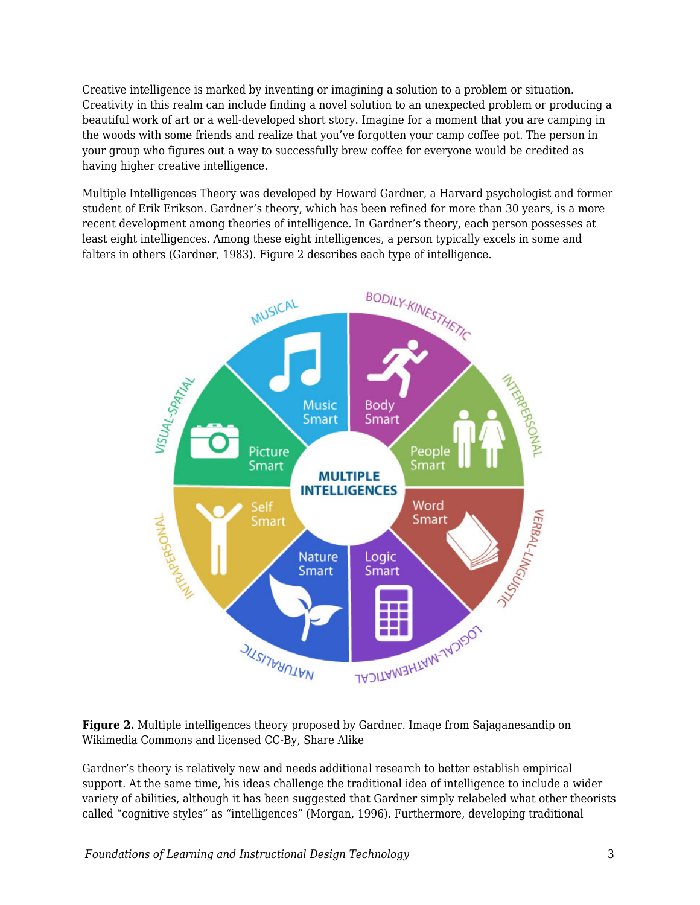Creative intelligence is marked by inventing or imagining a solution to a problem or situation. Creativity in this realm can include finding a novel solution to an unexpected problem or producing a beautiful work of art or a well-developed short story. Imagine for a moment that you are camping in the woods with some friends and realize that you've forgotten your camp coffee pot. The person in your group who figures out a way to successfully brew coffee for everyone would be credited as having higher creative intelligence.

Multiple Intelligences Theory was developed by Howard Gardner, a Harvard psychologist and former student of Erik Erikson. Gardner's theory, which has been refined for more than 30 years, is a more recent development among theories of intelligence. In Gardner's theory, each person possesses at least eight intelligences. Among these eight intelligences, a person typically excels in some and falters in others (Gardner, 1983). Figure 2 describes each type of intelligence.



**Figure 2.** Multiple intelligences theory proposed by Gardner. Image from Sajaganesandip on Wikimedia Commons and licensed CC-By, Share Alike

Gardner's theory is relatively new and needs additional research to better establish empirical support. At the same time, his ideas challenge the traditional idea of intelligence to include a wider variety of abilities, although it has been suggested that Gardner simply relabeled what other theorists called "cognitive styles" as "intelligences" (Morgan, 1996). Furthermore, developing traditional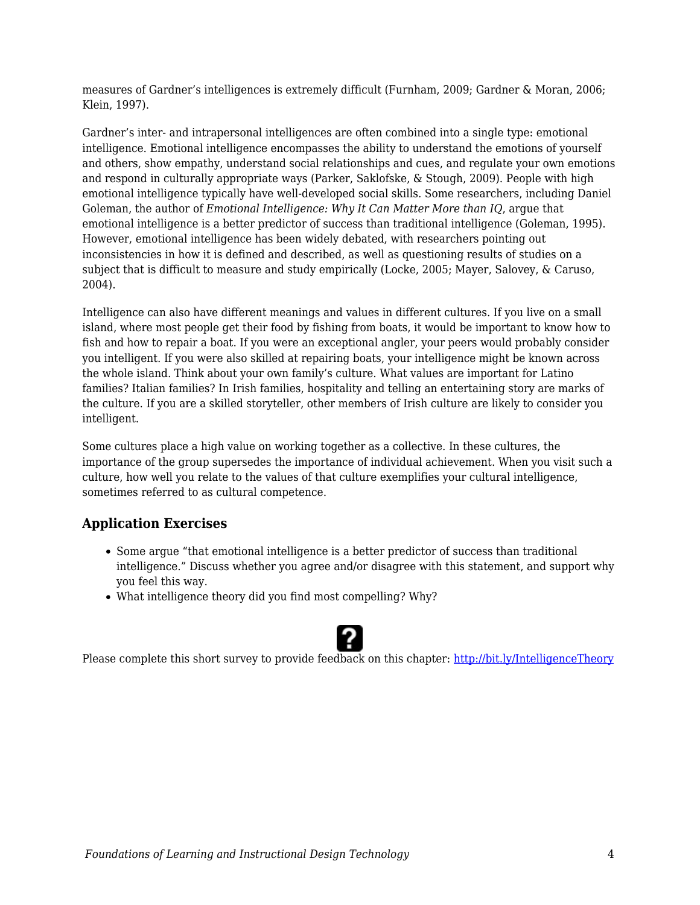measures of Gardner's intelligences is extremely difficult (Furnham, 2009; Gardner & Moran, 2006; Klein, 1997).

Gardner's inter- and intrapersonal intelligences are often combined into a single type: emotional intelligence. Emotional intelligence encompasses the ability to understand the emotions of yourself and others, show empathy, understand social relationships and cues, and regulate your own emotions and respond in culturally appropriate ways (Parker, Saklofske, & Stough, 2009). People with high emotional intelligence typically have well-developed social skills. Some researchers, including Daniel Goleman, the author of *Emotional Intelligence: Why It Can Matter More than IQ*, argue that emotional intelligence is a better predictor of success than traditional intelligence (Goleman, 1995). However, emotional intelligence has been widely debated, with researchers pointing out inconsistencies in how it is defined and described, as well as questioning results of studies on a subject that is difficult to measure and study empirically (Locke, 2005; Mayer, Salovey, & Caruso, 2004).

Intelligence can also have different meanings and values in different cultures. If you live on a small island, where most people get their food by fishing from boats, it would be important to know how to fish and how to repair a boat. If you were an exceptional angler, your peers would probably consider you intelligent. If you were also skilled at repairing boats, your intelligence might be known across the whole island. Think about your own family's culture. What values are important for Latino families? Italian families? In Irish families, hospitality and telling an entertaining story are marks of the culture. If you are a skilled storyteller, other members of Irish culture are likely to consider you intelligent.

Some cultures place a high value on working together as a collective. In these cultures, the importance of the group supersedes the importance of individual achievement. When you visit such a culture, how well you relate to the values of that culture exemplifies your cultural intelligence, sometimes referred to as cultural competence.

## **Application Exercises**

- Some argue "that emotional intelligence is a better predictor of success than traditional intelligence." Discuss whether you agree and/or disagree with this statement, and support why you feel this way.
- What intelligence theory did you find most compelling? Why?



Please complete this short survey to provide feedback on this chapter: <http://bit.ly/IntelligenceTheory>